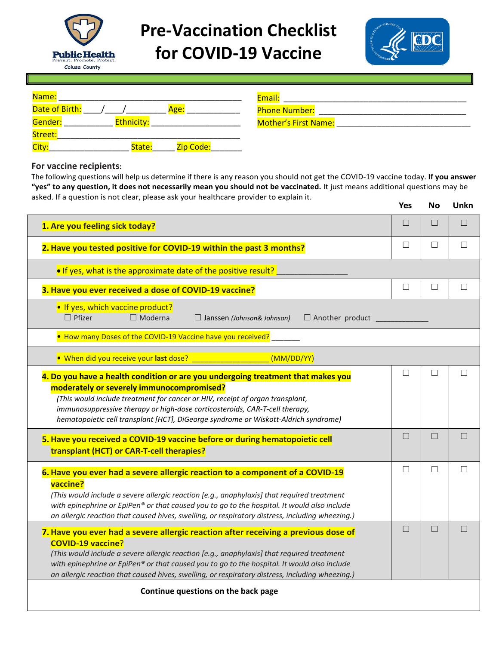

## **Pre-Vaccination Checklist for COVID-19 Vaccine**



| Name:                               | Email:                      |
|-------------------------------------|-----------------------------|
| Date of Birth:<br>Age:              | <b>Phone Number:</b>        |
| Gender:<br><b>Ethnicity:</b>        | <b>Mother's First Name:</b> |
| Street:                             |                             |
| City:<br><b>Zip Code:</b><br>State: |                             |

## **For vaccine recipients:**

The following questions will help us determine if there is any reason you should not get the COVID-19 vaccine today. **If you answer "yes" to any question, it does not necessarily mean you should not be vaccinated.** It just means additional questions may be asked. If a question is not clear, please ask your healthcare provider to explain it.

|                                                                                                                                                                                                                                                                                                                                                                                                                | <b>Yes</b> | <b>No</b> | Unkn         |  |  |
|----------------------------------------------------------------------------------------------------------------------------------------------------------------------------------------------------------------------------------------------------------------------------------------------------------------------------------------------------------------------------------------------------------------|------------|-----------|--------------|--|--|
| 1. Are you feeling sick today?                                                                                                                                                                                                                                                                                                                                                                                 | П          | П         | П            |  |  |
| 2. Have you tested positive for COVID-19 within the past 3 months?                                                                                                                                                                                                                                                                                                                                             | П          | П         | $\Box$       |  |  |
| . If yes, what is the approximate date of the positive result?                                                                                                                                                                                                                                                                                                                                                 |            |           |              |  |  |
| 3. Have you ever received a dose of COVID-19 vaccine?                                                                                                                                                                                                                                                                                                                                                          | $\Box$     | □         | $\Box$       |  |  |
| . If yes, which vaccine product?<br>$\Box$ Pfizer<br>$\Box$ Moderna<br>$\Box$ Janssen (Johnson& Johnson)<br>$\Box$ Another product                                                                                                                                                                                                                                                                             |            |           |              |  |  |
| • How many Doses of the COVID-19 Vaccine have you received?                                                                                                                                                                                                                                                                                                                                                    |            |           |              |  |  |
| . When did you receive your last dose?<br>(MM/DD/YY)                                                                                                                                                                                                                                                                                                                                                           |            |           |              |  |  |
| 4. Do you have a health condition or are you undergoing treatment that makes you<br>moderately or severely immunocompromised?<br>(This would include treatment for cancer or HIV, receipt of organ transplant,<br>immunosuppressive therapy or high-dose corticosteroids, CAR-T-cell therapy,<br>hematopoietic cell transplant [HCT], DiGeorge syndrome or Wiskott-Aldrich syndrome)                           |            | П         | $\Box$       |  |  |
| 5. Have you received a COVID-19 vaccine before or during hematopoietic cell<br>transplant (HCT) or CAR-T-cell therapies?                                                                                                                                                                                                                                                                                       | П          | П         | $\mathbf{L}$ |  |  |
| 6. Have you ever had a severe allergic reaction to a component of a COVID-19<br>vaccine?<br>(This would include a severe allergic reaction [e.g., anaphylaxis] that required treatment<br>with epinephrine or EpiPen® or that caused you to go to the hospital. It would also include<br>an allergic reaction that caused hives, swelling, or respiratory distress, including wheezing.)                       | □          | $\Box$    | ΓI           |  |  |
| 7. Have you ever had a severe allergic reaction after receiving a previous dose of<br><b>COVID-19 vaccine?</b><br>(This would include a severe allergic reaction [e.g., anaphylaxis] that required treatment<br>with epinephrine or EpiPen® or that caused you to go to the hospital. It would also include<br>an allergic reaction that caused hives, swelling, or respiratory distress, including wheezing.) | П          | П         |              |  |  |
| Continue questions on the back page                                                                                                                                                                                                                                                                                                                                                                            |            |           |              |  |  |